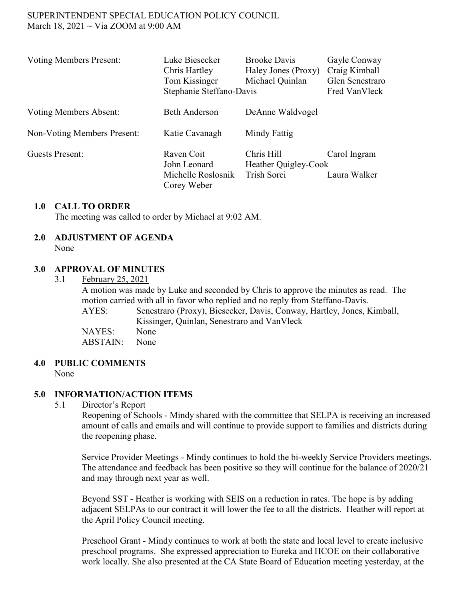#### SUPERINTENDENT SPECIAL EDUCATION POLICY COUNCIL March 18, 2021  $\sim$  Via ZOOM at 9:00 AM

| <b>Voting Members Present:</b> | Luke Biesecker<br>Chris Hartley<br>Tom Kissinger<br>Stephanie Steffano-Davis | <b>Brooke Davis</b><br>Haley Jones (Proxy)<br>Michael Quinlan | Gayle Conway<br>Craig Kimball<br>Glen Senestraro<br>Fred VanVleck |
|--------------------------------|------------------------------------------------------------------------------|---------------------------------------------------------------|-------------------------------------------------------------------|
| <b>Voting Members Absent:</b>  | <b>Beth Anderson</b>                                                         | DeAnne Waldvogel                                              |                                                                   |
| Non-Voting Members Present:    | Katie Cavanagh                                                               | Mindy Fattig                                                  |                                                                   |
| <b>Guests Present:</b>         | Raven Coit<br>John Leonard<br>Michelle Roslosnik<br>Corey Weber              | Chris Hill<br>Heather Quigley-Cook<br>Trish Sorci             | Carol Ingram<br>Laura Walker                                      |

#### **1.0 CALL TO ORDER**

The meeting was called to order by Michael at 9:02 AM.

# **2.0 ADJUSTMENT OF AGENDA**

None

#### **3.0 APPROVAL OF MINUTES**

3.1 February 25, 2021

A motion was made by Luke and seconded by Chris to approve the minutes as read. The motion carried with all in favor who replied and no reply from Steffano-Davis. AYES: Senestraro (Proxy), Biesecker, Davis, Conway, Hartley, Jones, Kimball, Kissinger, Quinlan, Senestraro and VanVleck NAYES: None ABSTAIN: None

## **4.0 PUBLIC COMMENTS**

None

## **5.0 INFORMATION/ACTION ITEMS**

#### 5.1 Director's Report

Reopening of Schools - Mindy shared with the committee that SELPA is receiving an increased amount of calls and emails and will continue to provide support to families and districts during the reopening phase.

Service Provider Meetings - Mindy continues to hold the bi-weekly Service Providers meetings. The attendance and feedback has been positive so they will continue for the balance of 2020/21 and may through next year as well.

Beyond SST - Heather is working with SEIS on a reduction in rates. The hope is by adding adjacent SELPAs to our contract it will lower the fee to all the districts. Heather will report at the April Policy Council meeting.

Preschool Grant - Mindy continues to work at both the state and local level to create inclusive preschool programs. She expressed appreciation to Eureka and HCOE on their collaborative work locally. She also presented at the CA State Board of Education meeting yesterday, at the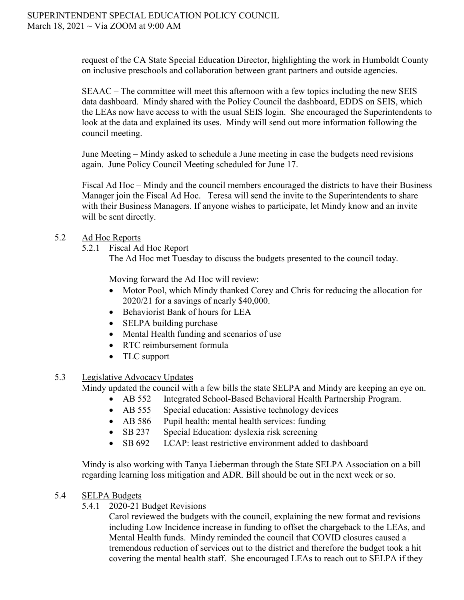request of the CA State Special Education Director, highlighting the work in Humboldt County on inclusive preschools and collaboration between grant partners and outside agencies.

SEAAC – The committee will meet this afternoon with a few topics including the new SEIS data dashboard. Mindy shared with the Policy Council the dashboard, EDDS on SEIS, which the LEAs now have access to with the usual SEIS login. She encouraged the Superintendents to look at the data and explained its uses. Mindy will send out more information following the council meeting.

June Meeting – Mindy asked to schedule a June meeting in case the budgets need revisions again. June Policy Council Meeting scheduled for June 17.

Fiscal Ad Hoc – Mindy and the council members encouraged the districts to have their Business Manager join the Fiscal Ad Hoc. Teresa will send the invite to the Superintendents to share with their Business Managers. If anyone wishes to participate, let Mindy know and an invite will be sent directly.

# 5.2 Ad Hoc Reports

- 5.2.1 Fiscal Ad Hoc Report
	- The Ad Hoc met Tuesday to discuss the budgets presented to the council today.

Moving forward the Ad Hoc will review:

- Motor Pool, which Mindy thanked Corey and Chris for reducing the allocation for 2020/21 for a savings of nearly \$40,000.
- Behaviorist Bank of hours for LEA
- SELPA building purchase
- Mental Health funding and scenarios of use
- RTC reimbursement formula
- TLC support

## 5.3 Legislative Advocacy Updates

Mindy updated the council with a few bills the state SELPA and Mindy are keeping an eye on.

- AB 552 Integrated School-Based Behavioral Health Partnership Program.
- AB 555 Special education: Assistive technology devices
- AB 586 Pupil health: mental health services: funding
- SB 237 Special Education: dyslexia risk screening
- SB 692 LCAP: least restrictive environment added to dashboard

Mindy is also working with Tanya Lieberman through the State SELPA Association on a bill regarding learning loss mitigation and ADR. Bill should be out in the next week or so.

## 5.4 SELPA Budgets

5.4.1 2020-21 Budget Revisions

Carol reviewed the budgets with the council, explaining the new format and revisions including Low Incidence increase in funding to offset the chargeback to the LEAs, and Mental Health funds. Mindy reminded the council that COVID closures caused a tremendous reduction of services out to the district and therefore the budget took a hit covering the mental health staff. She encouraged LEAs to reach out to SELPA if they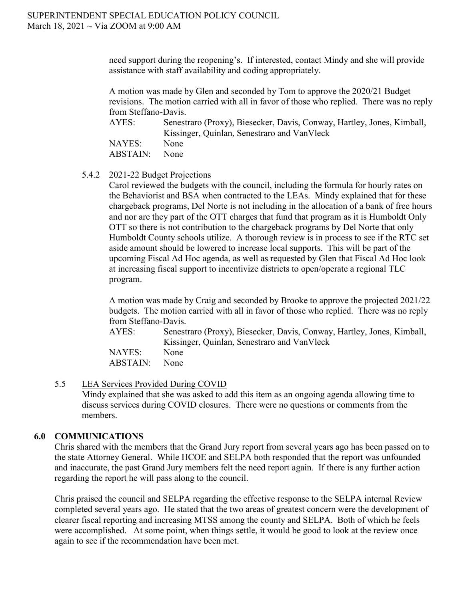need support during the reopening's. If interested, contact Mindy and she will provide assistance with staff availability and coding appropriately.

A motion was made by Glen and seconded by Tom to approve the 2020/21 Budget revisions. The motion carried with all in favor of those who replied. There was no reply from Steffano-Davis.

AYES: Senestraro (Proxy), Biesecker, Davis, Conway, Hartley, Jones, Kimball, Kissinger, Quinlan, Senestraro and VanVleck NAYES: None ABSTAIN: None

5.4.2 2021-22 Budget Projections

Carol reviewed the budgets with the council, including the formula for hourly rates on the Behaviorist and BSA when contracted to the LEAs. Mindy explained that for these chargeback programs, Del Norte is not including in the allocation of a bank of free hours and nor are they part of the OTT charges that fund that program as it is Humboldt Only OTT so there is not contribution to the chargeback programs by Del Norte that only Humboldt County schools utilize. A thorough review is in process to see if the RTC set aside amount should be lowered to increase local supports. This will be part of the upcoming Fiscal Ad Hoc agenda, as well as requested by Glen that Fiscal Ad Hoc look at increasing fiscal support to incentivize districts to open/operate a regional TLC program.

A motion was made by Craig and seconded by Brooke to approve the projected 2021/22 budgets. The motion carried with all in favor of those who replied. There was no reply from Steffano-Davis.

AYES: Senestraro (Proxy), Biesecker, Davis, Conway, Hartley, Jones, Kimball, Kissinger, Quinlan, Senestraro and VanVleck NAYES: None ABSTAIN: None

#### 5.5 LEA Services Provided During COVID

Mindy explained that she was asked to add this item as an ongoing agenda allowing time to discuss services during COVID closures. There were no questions or comments from the members.

## **6.0 COMMUNICATIONS**

Chris shared with the members that the Grand Jury report from several years ago has been passed on to the state Attorney General. While HCOE and SELPA both responded that the report was unfounded and inaccurate, the past Grand Jury members felt the need report again. If there is any further action regarding the report he will pass along to the council.

Chris praised the council and SELPA regarding the effective response to the SELPA internal Review completed several years ago. He stated that the two areas of greatest concern were the development of clearer fiscal reporting and increasing MTSS among the county and SELPA. Both of which he feels were accomplished. At some point, when things settle, it would be good to look at the review once again to see if the recommendation have been met.